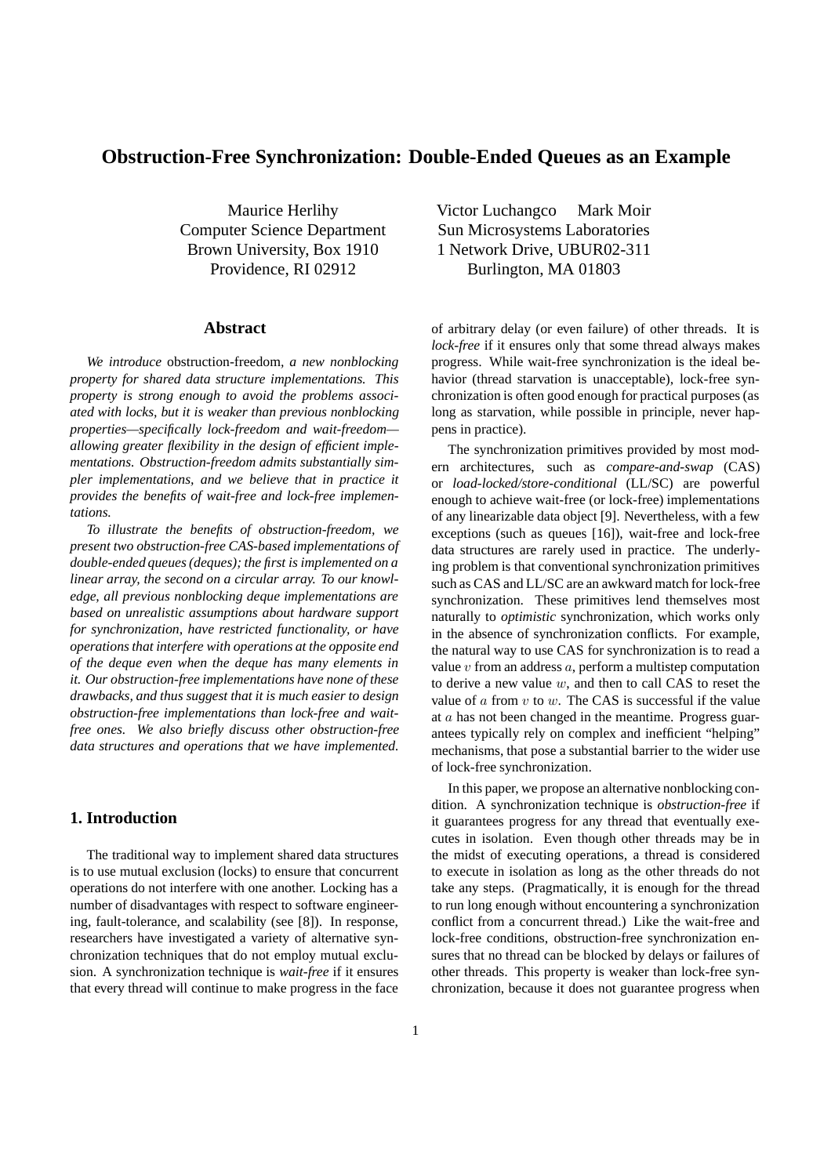# **Obstruction-Free Synchronization: Double-Ended Queues as an Example**

Maurice Herlihy Computer Science Department Brown University, Box 1910 Providence, RI 02912

## **Abstract**

*We introduce* obstruction-freedom*, a new nonblocking property for shared data structure implementations. This property is strong enough to avoid the problems associated with locks, but it is weaker than previous nonblocking properties—specifically lock-freedom and wait-freedom allowing greater flexibility in the design of efficient implementations. Obstruction-freedom admits substantially simpler implementations, and we believe that in practice it provides the benefits of wait-free and lock-free implementations.*

*To illustrate the benefits of obstruction-freedom, we present two obstruction-free CAS-based implementations of double-ended queues (deques); the first is implemented on a linear array, the second on a circular array. To our knowledge, all previous nonblocking deque implementations are based on unrealistic assumptions about hardware support for synchronization, have restricted functionality, or have operations that interfere with operations at the opposite end of the deque even when the deque has many elements in it. Our obstruction-free implementations have none of these drawbacks, and thus suggest that it is much easier to design obstruction-free implementations than lock-free and waitfree ones. We also briefly discuss other obstruction-free data structures and operations that we have implemented.*

## **1. Introduction**

The traditional way to implement shared data structures is to use mutual exclusion (locks) to ensure that concurrent operations do not interfere with one another. Locking has a number of disadvantages with respect to software engineering, fault-tolerance, and scalability (see [8]). In response, researchers have investigated a variety of alternative synchronization techniques that do not employ mutual exclusion. A synchronization technique is *wait-free* if it ensures that every thread will continue to make progress in the face Victor Luchangco Mark Moir Sun Microsystems Laboratories 1 Network Drive, UBUR02-311 Burlington, MA 01803

of arbitrary delay (or even failure) of other threads. It is *lock-free* if it ensures only that some thread always makes progress. While wait-free synchronization is the ideal behavior (thread starvation is unacceptable), lock-free synchronization is often good enough for practical purposes (as long as starvation, while possible in principle, never happens in practice).

The synchronization primitives provided by most modern architectures, such as *compare-and-swap* (CAS) or *load-locked/store-conditional* (LL/SC) are powerful enough to achieve wait-free (or lock-free) implementations of any linearizable data object [9]. Nevertheless, with a few exceptions (such as queues [16]), wait-free and lock-free data structures are rarely used in practice. The underlying problem is that conventional synchronization primitives such as CAS and LL/SC are an awkward match for lock-free synchronization. These primitives lend themselves most naturally to *optimistic* synchronization, which works only in the absence of synchronization conflicts. For example, the natural way to use CAS for synchronization is to read a value *v* from an address *a*, perform a multistep computation to derive a new value *w*, and then to call CAS to reset the value of *a* from *v* to *w*. The CAS is successful if the value at *a* has not been changed in the meantime. Progress guarantees typically rely on complex and inefficient "helping" mechanisms, that pose a substantial barrier to the wider use of lock-free synchronization.

In this paper, we propose an alternative nonblocking condition. A synchronization technique is *obstruction-free* if it guarantees progress for any thread that eventually executes in isolation. Even though other threads may be in the midst of executing operations, a thread is considered to execute in isolation as long as the other threads do not take any steps. (Pragmatically, it is enough for the thread to run long enough without encountering a synchronization conflict from a concurrent thread.) Like the wait-free and lock-free conditions, obstruction-free synchronization ensures that no thread can be blocked by delays or failures of other threads. This property is weaker than lock-free synchronization, because it does not guarantee progress when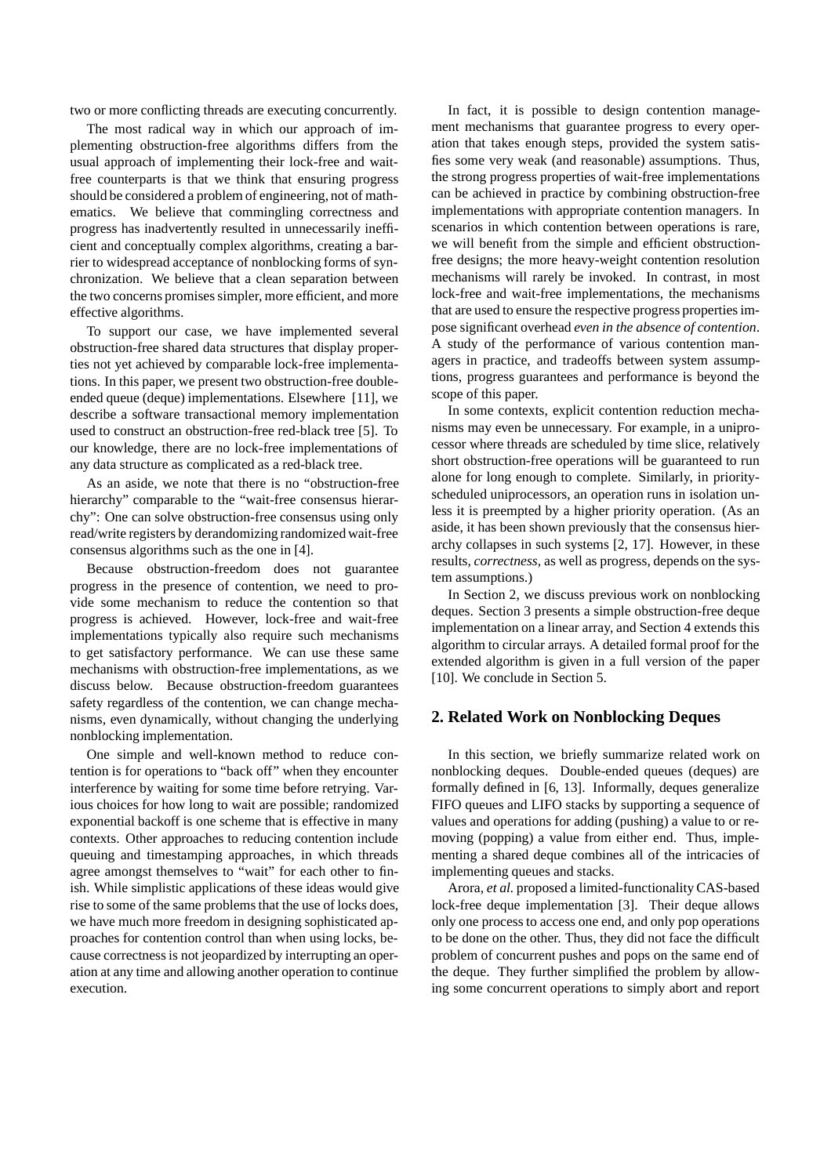two or more conflicting threads are executing concurrently.

The most radical way in which our approach of implementing obstruction-free algorithms differs from the usual approach of implementing their lock-free and waitfree counterparts is that we think that ensuring progress should be considered a problem of engineering, not of mathematics. We believe that commingling correctness and progress has inadvertently resulted in unnecessarily inefficient and conceptually complex algorithms, creating a barrier to widespread acceptance of nonblocking forms of synchronization. We believe that a clean separation between the two concerns promises simpler, more efficient, and more effective algorithms.

To support our case, we have implemented several obstruction-free shared data structures that display properties not yet achieved by comparable lock-free implementations. In this paper, we present two obstruction-free doubleended queue (deque) implementations. Elsewhere [11], we describe a software transactional memory implementation used to construct an obstruction-free red-black tree [5]. To our knowledge, there are no lock-free implementations of any data structure as complicated as a red-black tree.

As an aside, we note that there is no "obstruction-free hierarchy" comparable to the "wait-free consensus hierarchy": One can solve obstruction-free consensus using only read/write registers by derandomizing randomized wait-free consensus algorithms such as the one in [4].

Because obstruction-freedom does not guarantee progress in the presence of contention, we need to provide some mechanism to reduce the contention so that progress is achieved. However, lock-free and wait-free implementations typically also require such mechanisms to get satisfactory performance. We can use these same mechanisms with obstruction-free implementations, as we discuss below. Because obstruction-freedom guarantees safety regardless of the contention, we can change mechanisms, even dynamically, without changing the underlying nonblocking implementation.

One simple and well-known method to reduce contention is for operations to "back off" when they encounter interference by waiting for some time before retrying. Various choices for how long to wait are possible; randomized exponential backoff is one scheme that is effective in many contexts. Other approaches to reducing contention include queuing and timestamping approaches, in which threads agree amongst themselves to "wait" for each other to finish. While simplistic applications of these ideas would give rise to some of the same problems that the use of locks does, we have much more freedom in designing sophisticated approaches for contention control than when using locks, because correctness is not jeopardized by interrupting an operation at any time and allowing another operation to continue execution.

In fact, it is possible to design contention management mechanisms that guarantee progress to every operation that takes enough steps, provided the system satisfies some very weak (and reasonable) assumptions. Thus, the strong progress properties of wait-free implementations can be achieved in practice by combining obstruction-free implementations with appropriate contention managers. In scenarios in which contention between operations is rare, we will benefit from the simple and efficient obstructionfree designs; the more heavy-weight contention resolution mechanisms will rarely be invoked. In contrast, in most lock-free and wait-free implementations, the mechanisms that are used to ensure the respective progress properties impose significant overhead *even in the absence of contention*. A study of the performance of various contention managers in practice, and tradeoffs between system assumptions, progress guarantees and performance is beyond the scope of this paper.

In some contexts, explicit contention reduction mechanisms may even be unnecessary. For example, in a uniprocessor where threads are scheduled by time slice, relatively short obstruction-free operations will be guaranteed to run alone for long enough to complete. Similarly, in priorityscheduled uniprocessors, an operation runs in isolation unless it is preempted by a higher priority operation. (As an aside, it has been shown previously that the consensus hierarchy collapses in such systems [2, 17]. However, in these results, *correctness*, as well as progress, depends on the system assumptions.)

In Section 2, we discuss previous work on nonblocking deques. Section 3 presents a simple obstruction-free deque implementation on a linear array, and Section 4 extends this algorithm to circular arrays. A detailed formal proof for the extended algorithm is given in a full version of the paper [10]. We conclude in Section 5.

## **2. Related Work on Nonblocking Deques**

In this section, we briefly summarize related work on nonblocking deques. Double-ended queues (deques) are formally defined in [6, 13]. Informally, deques generalize FIFO queues and LIFO stacks by supporting a sequence of values and operations for adding (pushing) a value to or removing (popping) a value from either end. Thus, implementing a shared deque combines all of the intricacies of implementing queues and stacks.

Arora, *et al.* proposed a limited-functionality CAS-based lock-free deque implementation [3]. Their deque allows only one process to access one end, and only pop operations to be done on the other. Thus, they did not face the difficult problem of concurrent pushes and pops on the same end of the deque. They further simplified the problem by allowing some concurrent operations to simply abort and report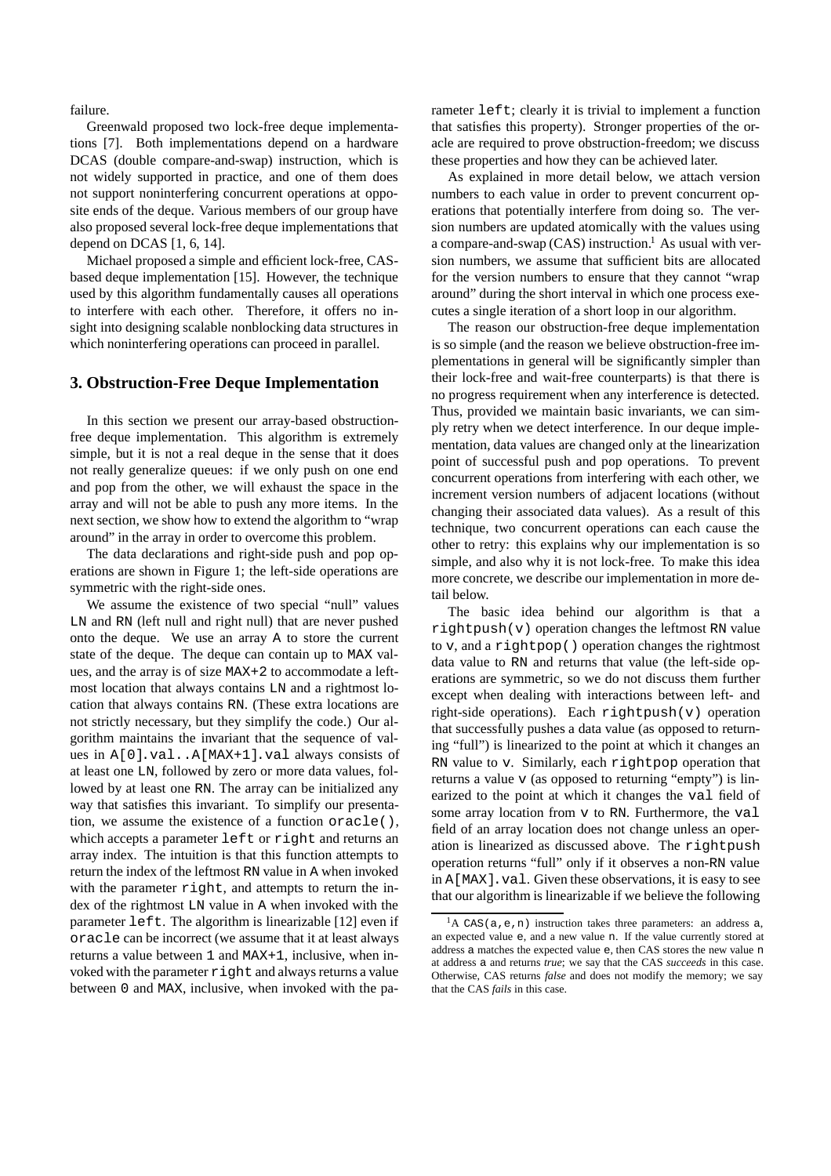failure.

Greenwald proposed two lock-free deque implementations [7]. Both implementations depend on a hardware DCAS (double compare-and-swap) instruction, which is not widely supported in practice, and one of them does not support noninterfering concurrent operations at opposite ends of the deque. Various members of our group have also proposed several lock-free deque implementations that depend on DCAS [1, 6, 14].

Michael proposed a simple and efficient lock-free, CASbased deque implementation [15]. However, the technique used by this algorithm fundamentally causes all operations to interfere with each other. Therefore, it offers no insight into designing scalable nonblocking data structures in which noninterfering operations can proceed in parallel.

## **3. Obstruction-Free Deque Implementation**

In this section we present our array-based obstructionfree deque implementation. This algorithm is extremely simple, but it is not a real deque in the sense that it does not really generalize queues: if we only push on one end and pop from the other, we will exhaust the space in the array and will not be able to push any more items. In the next section, we show how to extend the algorithm to "wrap around" in the array in order to overcome this problem.

The data declarations and right-side push and pop operations are shown in Figure 1; the left-side operations are symmetric with the right-side ones.

We assume the existence of two special "null" values LN and RN (left null and right null) that are never pushed onto the deque. We use an array A to store the current state of the deque. The deque can contain up to MAX values, and the array is of size MAX+2 to accommodate a leftmost location that always contains LN and a rightmost location that always contains RN. (These extra locations are not strictly necessary, but they simplify the code.) Our algorithm maintains the invariant that the sequence of values in A[0].val..A[MAX+1].val always consists of at least one LN, followed by zero or more data values, followed by at least one RN. The array can be initialized any way that satisfies this invariant. To simplify our presentation, we assume the existence of a function oracle(), which accepts a parameter left or right and returns an array index. The intuition is that this function attempts to return the index of the leftmost RN value in A when invoked with the parameter right, and attempts to return the index of the rightmost LN value in A when invoked with the parameter left. The algorithm is linearizable [12] even if oracle can be incorrect (we assume that it at least always returns a value between 1 and MAX+1, inclusive, when invoked with the parameter right and always returns a value between 0 and MAX, inclusive, when invoked with the parameter left; clearly it is trivial to implement a function that satisfies this property). Stronger properties of the oracle are required to prove obstruction-freedom; we discuss these properties and how they can be achieved later.

As explained in more detail below, we attach version numbers to each value in order to prevent concurrent operations that potentially interfere from doing so. The version numbers are updated atomically with the values using a compare-and-swap (CAS) instruction.<sup>1</sup> As usual with version numbers, we assume that sufficient bits are allocated for the version numbers to ensure that they cannot "wrap around" during the short interval in which one process executes a single iteration of a short loop in our algorithm.

The reason our obstruction-free deque implementation is so simple (and the reason we believe obstruction-free implementations in general will be significantly simpler than their lock-free and wait-free counterparts) is that there is no progress requirement when any interference is detected. Thus, provided we maintain basic invariants, we can simply retry when we detect interference. In our deque implementation, data values are changed only at the linearization point of successful push and pop operations. To prevent concurrent operations from interfering with each other, we increment version numbers of adjacent locations (without changing their associated data values). As a result of this technique, two concurrent operations can each cause the other to retry: this explains why our implementation is so simple, and also why it is not lock-free. To make this idea more concrete, we describe our implementation in more detail below.

The basic idea behind our algorithm is that a rightpush(v) operation changes the leftmost RN value to v, and a rightpop() operation changes the rightmost data value to RN and returns that value (the left-side operations are symmetric, so we do not discuss them further except when dealing with interactions between left- and right-side operations). Each rightpush(v) operation that successfully pushes a data value (as opposed to returning "full") is linearized to the point at which it changes an RN value to v. Similarly, each rightpop operation that returns a value v (as opposed to returning "empty") is linearized to the point at which it changes the val field of some array location from v to RN. Furthermore, the val field of an array location does not change unless an operation is linearized as discussed above. The rightpush operation returns "full" only if it observes a non-RN value in A[MAX]. val. Given these observations, it is easy to see that our algorithm is linearizable if we believe the following

 ${}^{1}$ A CAS(a,e,n) instruction takes three parameters: an address a, an expected value e, and a new value n. If the value currently stored at address a matches the expected value e, then CAS stores the new value n at address a and returns *true*; we say that the CAS *succeeds* in this case. Otherwise, CAS returns *false* and does not modify the memory; we say that the CAS *fails* in this case.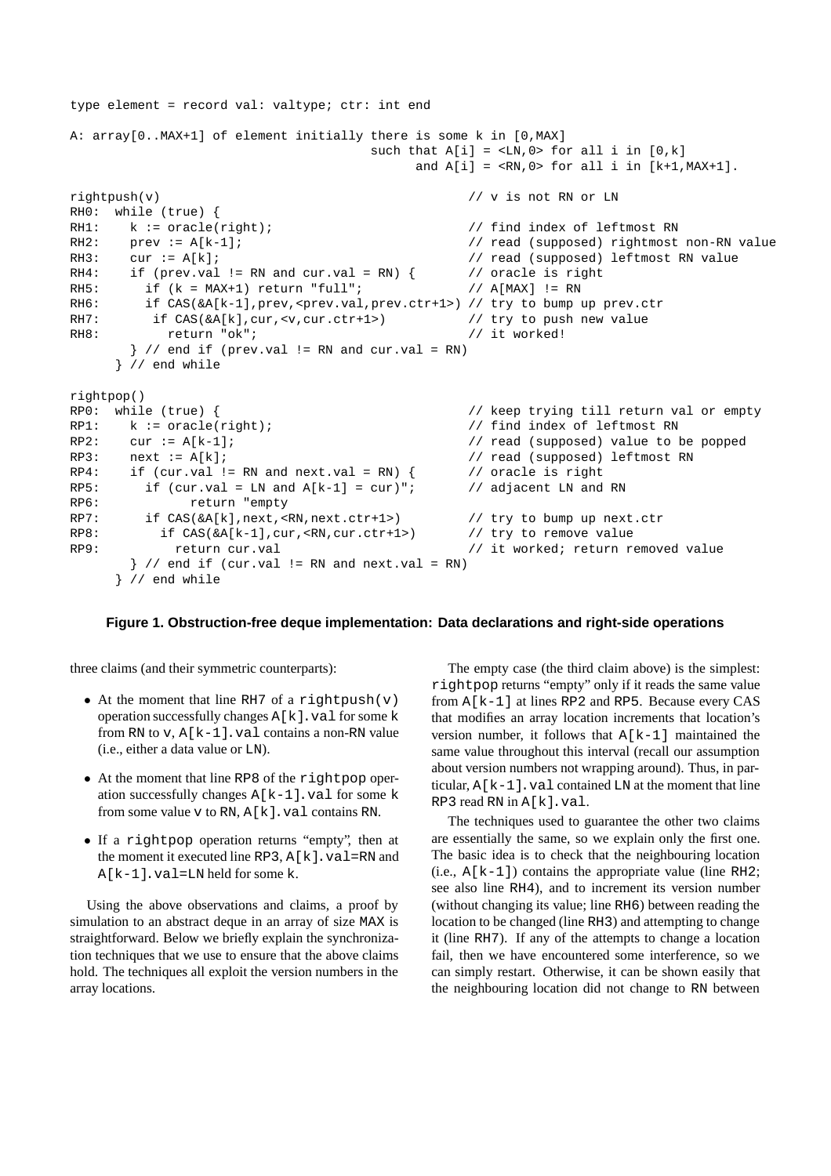```
type element = record val: valtype; ctr: int end
A: array[0..MAX+1] of element initially there is some k in [0,MAX]
                                 such that A[i] = \langle LN, 0 \rangle for all i in [0, k]and A[i] = \langle RN, 0 \rangle for all i in [k+1, MAX+1].
rightpush(v) \sqrt{2} // v is not RN or LN
RH0: while (true) {
RH1: k := oracle(right); \frac{1}{2} // find index of leftmost RN
RH2: prev := A[k-1]; \sqrt{2} / read (supposed) rightmost non-RN value
RH3: cur := A[k]; <br>
\frac{1}{2} cur := A[k]; <br>
\frac{1}{2} cur := A[k];
RH4: if (prev.val != RN and cur.val = RN) { // oracle is right
RH5: if (k = MAX+1) return "full"; // A[MAX] != RN
RH6: if CAS(&A[k-1],prev,<prev.val,prev.ctr+1>) // try to bump up prev.ctr
RH7: if CAS(&A[k], cur, <v, cur.ctr+1>) // try to push new value
RH8: return "ok"; http://itworked!
      } // end if (prev.val != RN and cur.val = RN)} // end while
rightpop()
RP0: while (true) { // keep trying till return val or empty
RP1: k := oracle(right); \frac{1}{2} // find index of leftmost RN
RP2: cur := A[k-1]; \frac{1}{2} // read (supposed) value to be popped
RP3: next := A[k]; // read (supposed) leftmost RN
RP4: if (cur.val != RN and next.val = RN) \{ // oracle is right
RP5: if (cur.val = LN and A[k-1] = cur)"; // adjacent LN and RN
RP6: return "empty
RP7: if CAS(&A[k], next, <RN, next.ctr+1>) // try to bump up next.ctr
RP8: if CAS(&A[k-1],cur,<RN,cur.ctr+1>) // try to remove value
RP9: return cur.val // it worked; return removed value
      }/ // end if (cur.val != RN and next.val = RN)
     } // end while
```
#### **Figure 1. Obstruction-free deque implementation: Data declarations and right-side operations**

three claims (and their symmetric counterparts):

- At the moment that line RH7 of a rightpush(v) operation successfully changes  $A[k]$ . val for some k from RN to v,  $A[k-1]$ . val contains a non-RN value (i.e., either a data value or LN).
- At the moment that line RP8 of the rightpop operation successfully changes  $A[k-1]$ . val for some k from some value  $v$  to RN,  $A[k]$ . val contains RN.
- *•* If a rightpop operation returns "empty", then at the moment it executed line RP3,  $A[k]$ . val=RN and A[k-1].val=LN held for some k.

Using the above observations and claims, a proof by simulation to an abstract deque in an array of size MAX is straightforward. Below we briefly explain the synchronization techniques that we use to ensure that the above claims hold. The techniques all exploit the version numbers in the array locations.

The empty case (the third claim above) is the simplest: rightpop returns "empty" only if it reads the same value from A[k-1] at lines RP2 and RP5. Because every CAS that modifies an array location increments that location's version number, it follows that  $A[k-1]$  maintained the same value throughout this interval (recall our assumption about version numbers not wrapping around). Thus, in particular,  $A[k-1]$ . val contained LN at the moment that line RP3 read RN in A[k].val.

The techniques used to guarantee the other two claims are essentially the same, so we explain only the first one. The basic idea is to check that the neighbouring location  $(i.e., A[k-1])$  contains the appropriate value (line RH2; see also line RH4), and to increment its version number (without changing its value; line RH6) between reading the location to be changed (line RH3) and attempting to change it (line RH7). If any of the attempts to change a location fail, then we have encountered some interference, so we can simply restart. Otherwise, it can be shown easily that the neighbouring location did not change to RN between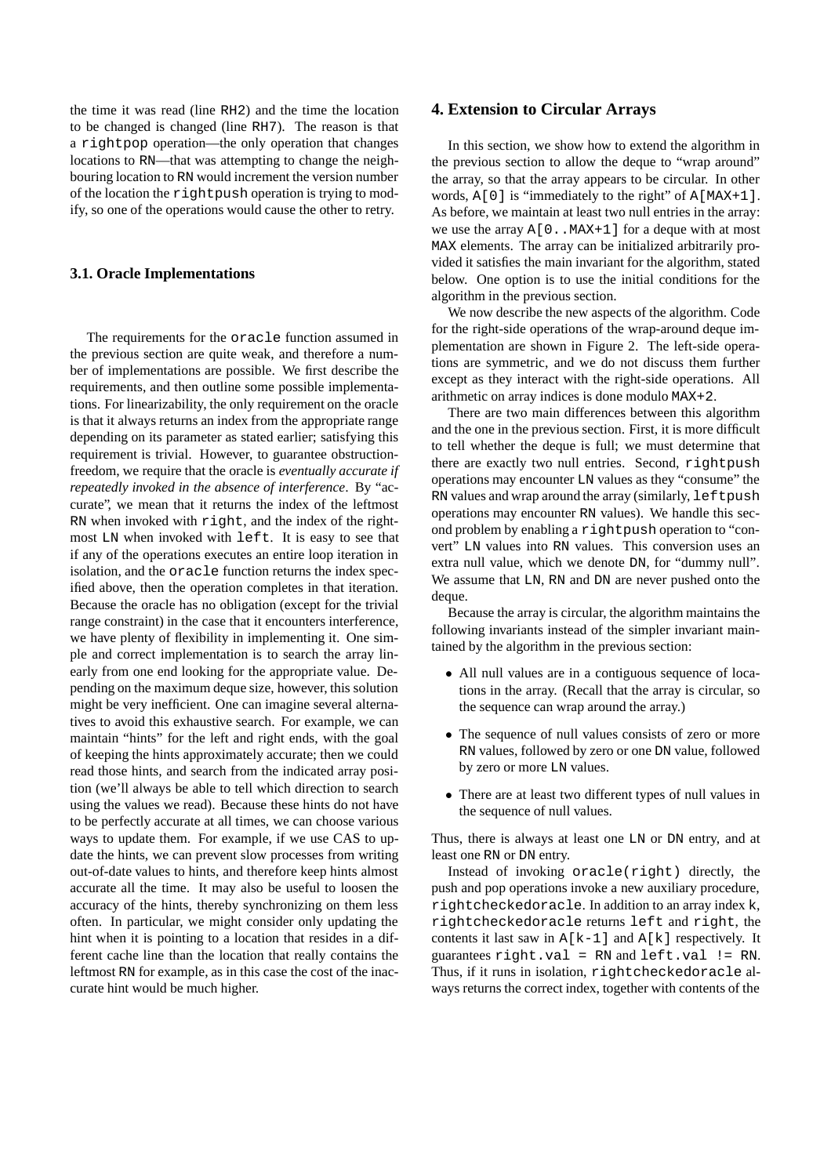the time it was read (line RH2) and the time the location to be changed is changed (line RH7). The reason is that a rightpop operation—the only operation that changes locations to RN—that was attempting to change the neighbouring location to RN would increment the version number of the location the rightpush operation is trying to modify, so one of the operations would cause the other to retry.

#### **3.1. Oracle Implementations**

The requirements for the oracle function assumed in the previous section are quite weak, and therefore a number of implementations are possible. We first describe the requirements, and then outline some possible implementations. For linearizability, the only requirement on the oracle is that it always returns an index from the appropriate range depending on its parameter as stated earlier; satisfying this requirement is trivial. However, to guarantee obstructionfreedom, we require that the oracle is *eventually accurate if repeatedly invoked in the absence of interference*. By "accurate", we mean that it returns the index of the leftmost RN when invoked with right, and the index of the rightmost LN when invoked with left. It is easy to see that if any of the operations executes an entire loop iteration in isolation, and the oracle function returns the index specified above, then the operation completes in that iteration. Because the oracle has no obligation (except for the trivial range constraint) in the case that it encounters interference, we have plenty of flexibility in implementing it. One simple and correct implementation is to search the array linearly from one end looking for the appropriate value. Depending on the maximum deque size, however, this solution might be very inefficient. One can imagine several alternatives to avoid this exhaustive search. For example, we can maintain "hints" for the left and right ends, with the goal of keeping the hints approximately accurate; then we could read those hints, and search from the indicated array position (we'll always be able to tell which direction to search using the values we read). Because these hints do not have to be perfectly accurate at all times, we can choose various ways to update them. For example, if we use CAS to update the hints, we can prevent slow processes from writing out-of-date values to hints, and therefore keep hints almost accurate all the time. It may also be useful to loosen the accuracy of the hints, thereby synchronizing on them less often. In particular, we might consider only updating the hint when it is pointing to a location that resides in a different cache line than the location that really contains the leftmost RN for example, as in this case the cost of the inaccurate hint would be much higher.

#### **4. Extension to Circular Arrays**

In this section, we show how to extend the algorithm in the previous section to allow the deque to "wrap around" the array, so that the array appears to be circular. In other words,  $A[0]$  is "immediately to the right" of  $A[MAX+1]$ . As before, we maintain at least two null entries in the array: we use the array  $A[0..MAX+1]$  for a deque with at most MAX elements. The array can be initialized arbitrarily provided it satisfies the main invariant for the algorithm, stated below. One option is to use the initial conditions for the algorithm in the previous section.

We now describe the new aspects of the algorithm. Code for the right-side operations of the wrap-around deque implementation are shown in Figure 2. The left-side operations are symmetric, and we do not discuss them further except as they interact with the right-side operations. All arithmetic on array indices is done modulo MAX+2.

There are two main differences between this algorithm and the one in the previous section. First, it is more difficult to tell whether the deque is full; we must determine that there are exactly two null entries. Second, rightpush operations may encounter LN values as they "consume" the RN values and wrap around the array (similarly, leftpush operations may encounter RN values). We handle this second problem by enabling a rightpush operation to "convert" LN values into RN values. This conversion uses an extra null value, which we denote DN, for "dummy null". We assume that LN, RN and DN are never pushed onto the deque.

Because the array is circular, the algorithm maintains the following invariants instead of the simpler invariant maintained by the algorithm in the previous section:

- *•* All null values are in a contiguous sequence of locations in the array. (Recall that the array is circular, so the sequence can wrap around the array.)
- The sequence of null values consists of zero or more RN values, followed by zero or one DN value, followed by zero or more LN values.
- *•* There are at least two different types of null values in the sequence of null values.

Thus, there is always at least one LN or DN entry, and at least one RN or DN entry.

Instead of invoking oracle(right) directly, the push and pop operations invoke a new auxiliary procedure, rightcheckedoracle. In addition to an array index k, rightcheckedoracle returns left and right, the contents it last saw in  $A[k-1]$  and  $A[k]$  respectively. It guarantees right.val = RN and left.val != RN. Thus, if it runs in isolation, rightcheckedoracle always returns the correct index, together with contents of the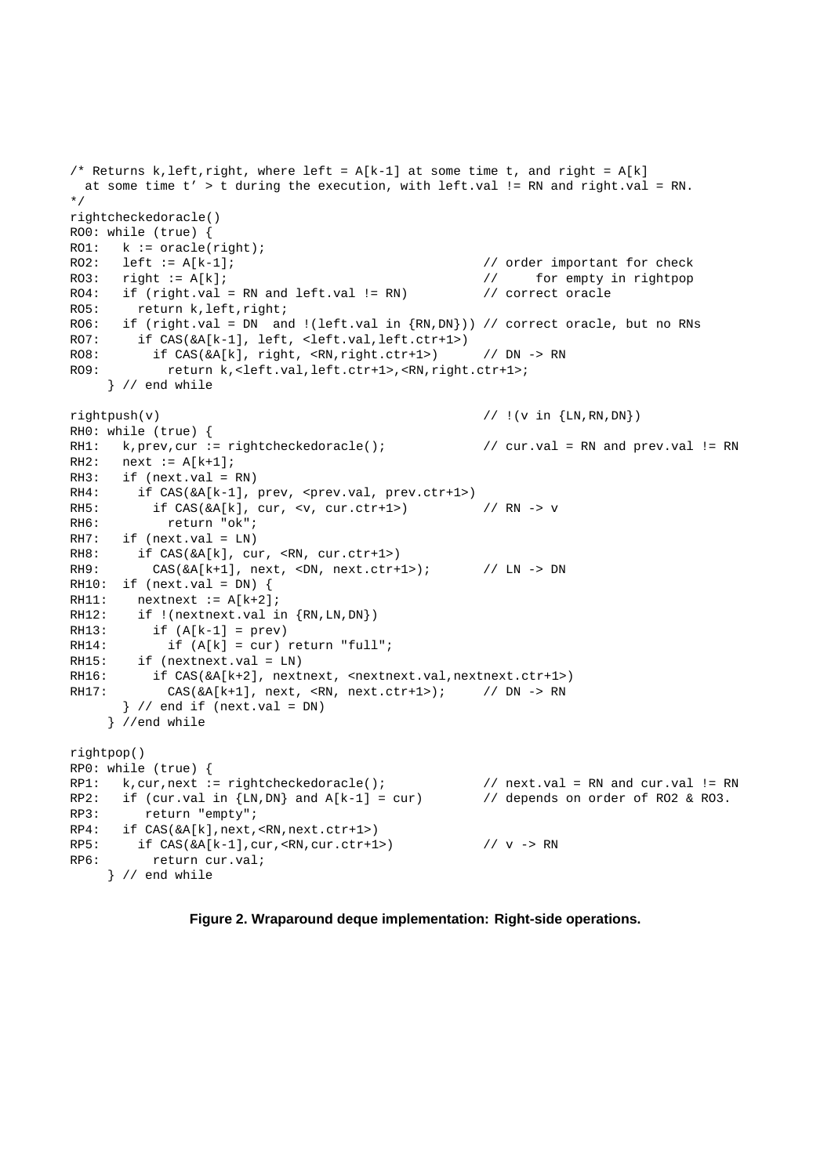```
/* Returns k, left, right, where left = A[k-1] at some time t, and right = A[k]at some time t' > t during the execution, with left.val != RN and right.val = RN.
*/
rightcheckedoracle()
RO0: while (true) {
RO1: k := oracle(right);RO2: left := A[k-1]; \qquad \qquad // order important for check
RO3: right := A[k]; A[k]RO4: if (right.val = RN and left.val != RN) // correct oracle
RO5: return k, left, right;
RO6: if (right.val = DN and !(left.val in \{RN, DN\})) // correct oracle, but no RNs
RO7: if CAS(&A[k-1], left, <left.val,left.ctr+1>)
RO8: if CAS(&A[k], right, <RN, right.ctr+1>) // DN -> RN
RO9: return k,<left.val,left.ctr+1>,<RN,right.ctr+1>;
    } // end while
rightpush(v) \left( \sqrt{1 + \left( \ln \ln \ln x \right) - \ln x} \right)RH0: while (true) {
RH1: k, prev, cur := rightcheckedoracle(); // cur.val = RN and prev.val != RN
RH2: next := A[k+1];RH3: if (next.val = RN)
RH4: if CAS(&A[k-1], prev, <prev.val, prev.ctr+1>)
RH5: if CAS(&A[k], cur, <v, cur.ctr+1>) // RN -> v
RH6: return "ok";
RH7: if (next.val = LN)
RH8: if CAS(&A[k], cur, <RN, cur.ctr+1>)
RH9: CAS(&A[k+1], next, <DN, next.ctr+1>); // LN -> DN
RH10: if (next.val = DN) {
RH11: next := A[k+2];RH12: if !(nextnext.val in {RN,LN,DN})
RH13: if (A[k-1] = prev)RH14: if (A[k] = cur) return "full";
RH15: if (nextnext.val = LN)
RH16: if CAS(&A[k+2], nextnext, <nextnext.val,nextnext.ctr+1>)
RH17: CAS(&A[k+1], next, <RN, next.ctr+1>); // DN -> RN
     \} // end if (next.val = DN)
    } //end while
rightpop()
RP0: while (true) {
RP1: k,cur,next := rightcheckedoracle(); \qquad // next.val = RN and cur.val != RN
RP2: if (cur.val in \{LN, DN\} and A[k-1] = cur) // depends on order of RO2 & RO3.
RP3: return "empty";
RP4: if CAS(&A[k],next,<RN,next.ctr+1>)
RP5: if CAS(\&A[k-1],cur,<RN,cur.ctr+1>) // v -> RN
RP6: return cur.val;
    } // end while
```
**Figure 2. Wraparound deque implementation: Right-side operations.**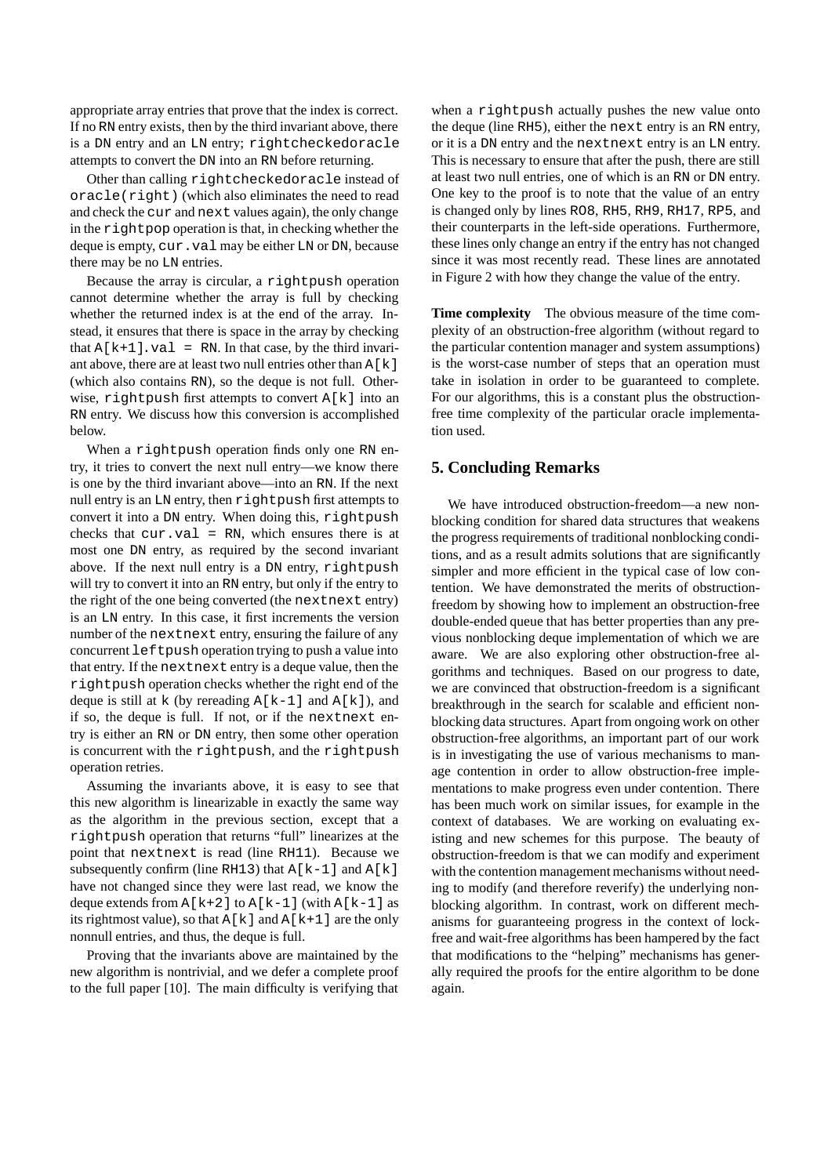appropriate array entries that prove that the index is correct. If no RN entry exists, then by the third invariant above, there is a DN entry and an LN entry; rightcheckedoracle attempts to convert the DN into an RN before returning.

Other than calling rightcheckedoracle instead of oracle(right) (which also eliminates the need to read and check the cur and next values again), the only change in the rightpop operation is that, in checking whether the deque is empty, cur.val may be either LN or DN, because there may be no LN entries.

Because the array is circular, a rightpush operation cannot determine whether the array is full by checking whether the returned index is at the end of the array. Instead, it ensures that there is space in the array by checking that  $A[k+1]$ . val = RN. In that case, by the third invariant above, there are at least two null entries other than  $A[k]$ (which also contains RN), so the deque is not full. Otherwise, rightpush first attempts to convert A[k] into an RN entry. We discuss how this conversion is accomplished below.

When a rightpush operation finds only one RN entry, it tries to convert the next null entry—we know there is one by the third invariant above—into an RN. If the next null entry is an LN entry, then rightpush first attempts to convert it into a DN entry. When doing this, rightpush checks that  $cur.val = RN$ , which ensures there is at most one DN entry, as required by the second invariant above. If the next null entry is a DN entry, rightpush will try to convert it into an RN entry, but only if the entry to the right of the one being converted (the nextnext entry) is an LN entry. In this case, it first increments the version number of the nextnext entry, ensuring the failure of any concurrent leftpush operation trying to push a value into that entry. If the nextnext entry is a deque value, then the rightpush operation checks whether the right end of the deque is still at k (by rereading  $A[k-1]$  and  $A[k]$ ), and if so, the deque is full. If not, or if the nextnext entry is either an RN or DN entry, then some other operation is concurrent with the rightpush, and the rightpush operation retries.

Assuming the invariants above, it is easy to see that this new algorithm is linearizable in exactly the same way as the algorithm in the previous section, except that a rightpush operation that returns "full" linearizes at the point that nextnext is read (line RH11). Because we subsequently confirm (line RH13) that  $A[k-1]$  and  $A[k]$ have not changed since they were last read, we know the deque extends from  $A[k+2]$  to  $A[k-1]$  (with  $A[k-1]$  as its rightmost value), so that  $A[k]$  and  $A[k+1]$  are the only nonnull entries, and thus, the deque is full.

Proving that the invariants above are maintained by the new algorithm is nontrivial, and we defer a complete proof to the full paper [10]. The main difficulty is verifying that when a rightpush actually pushes the new value onto the deque (line RH5), either the next entry is an RN entry, or it is a DN entry and the nextnext entry is an LN entry. This is necessary to ensure that after the push, there are still at least two null entries, one of which is an RN or DN entry. One key to the proof is to note that the value of an entry is changed only by lines RO8, RH5, RH9, RH17, RP5, and their counterparts in the left-side operations. Furthermore, these lines only change an entry if the entry has not changed since it was most recently read. These lines are annotated in Figure 2 with how they change the value of the entry.

**Time complexity** The obvious measure of the time complexity of an obstruction-free algorithm (without regard to the particular contention manager and system assumptions) is the worst-case number of steps that an operation must take in isolation in order to be guaranteed to complete. For our algorithms, this is a constant plus the obstructionfree time complexity of the particular oracle implementation used.

#### **5. Concluding Remarks**

We have introduced obstruction-freedom—a new nonblocking condition for shared data structures that weakens the progress requirements of traditional nonblocking conditions, and as a result admits solutions that are significantly simpler and more efficient in the typical case of low contention. We have demonstrated the merits of obstructionfreedom by showing how to implement an obstruction-free double-ended queue that has better properties than any previous nonblocking deque implementation of which we are aware. We are also exploring other obstruction-free algorithms and techniques. Based on our progress to date, we are convinced that obstruction-freedom is a significant breakthrough in the search for scalable and efficient nonblocking data structures. Apart from ongoing work on other obstruction-free algorithms, an important part of our work is in investigating the use of various mechanisms to manage contention in order to allow obstruction-free implementations to make progress even under contention. There has been much work on similar issues, for example in the context of databases. We are working on evaluating existing and new schemes for this purpose. The beauty of obstruction-freedom is that we can modify and experiment with the contention management mechanisms without needing to modify (and therefore reverify) the underlying nonblocking algorithm. In contrast, work on different mechanisms for guaranteeing progress in the context of lockfree and wait-free algorithms has been hampered by the fact that modifications to the "helping" mechanisms has generally required the proofs for the entire algorithm to be done again.